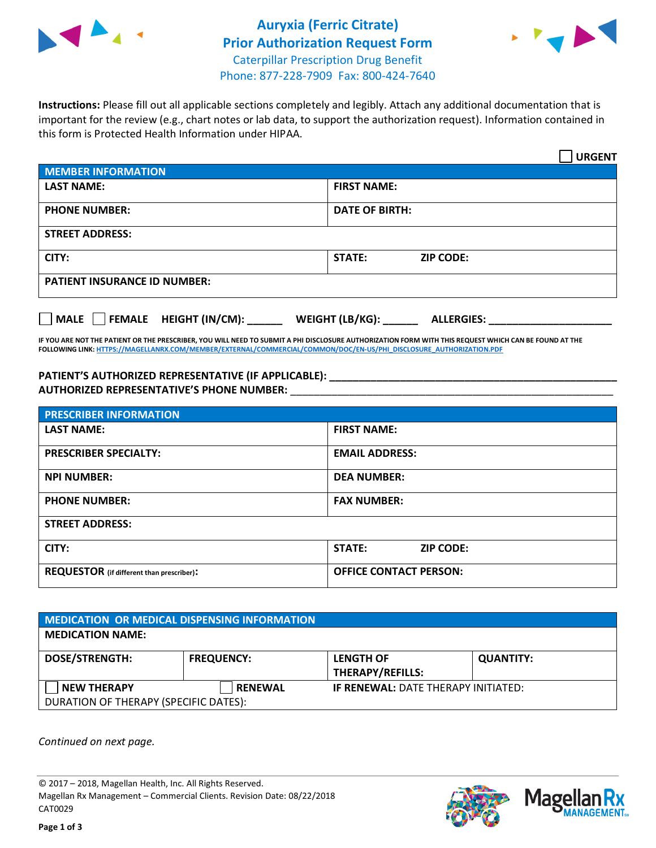



**Instructions:** Please fill out all applicable sections completely and legibly. Attach any additional documentation that is important for the review (e.g., chart notes or lab data, to support the authorization request). Information contained in this form is Protected Health Information under HIPAA.

|                                     | <b>URGENT</b>                        |  |
|-------------------------------------|--------------------------------------|--|
| <b>MEMBER INFORMATION</b>           |                                      |  |
| <b>LAST NAME:</b>                   | <b>FIRST NAME:</b>                   |  |
| <b>PHONE NUMBER:</b>                | <b>DATE OF BIRTH:</b>                |  |
| <b>STREET ADDRESS:</b>              |                                      |  |
| CITY:                               | STATE:<br><b>ZIP CODE:</b>           |  |
| <b>PATIENT INSURANCE ID NUMBER:</b> |                                      |  |
| FEMALE HEIGHT (IN/CM):<br>    MALE  | WEIGHT (LB/KG):<br><b>ALLERGIES:</b> |  |

**IF YOU ARE NOT THE PATIENT OR THE PRESCRIBER, YOU WILL NEED TO SUBMIT A PHI DISCLOSURE AUTHORIZATION FORM WITH THIS REQUEST WHICH CAN BE FOUND AT THE FOLLOWING LINK[: HTTPS://MAGELLANRX.COM/MEMBER/EXTERNAL/COMMERCIAL/COMMON/DOC/EN-US/PHI\\_DISCLOSURE\\_AUTHORIZATION.PDF](https://magellanrx.com/member/external/commercial/common/doc/en-us/PHI_Disclosure_Authorization.pdf)**

PATIENT'S AUTHORIZED REPRESENTATIVE (IF APPLICABLE): **\_\_\_\_\_\_\_\_\_\_\_\_\_\_\_\_\_\_\_\_\_\_ AUTHORIZED REPRESENTATIVE'S PHONE NUMBER:** \_\_\_\_\_\_\_\_\_\_\_\_\_\_\_\_\_\_\_\_\_\_\_\_\_\_\_\_\_\_\_\_\_\_\_\_\_\_\_\_\_\_\_\_\_\_\_\_\_\_\_\_\_\_\_

| <b>PRESCRIBER INFORMATION</b>             |                                   |  |
|-------------------------------------------|-----------------------------------|--|
| <b>LAST NAME:</b>                         | <b>FIRST NAME:</b>                |  |
| <b>PRESCRIBER SPECIALTY:</b>              | <b>EMAIL ADDRESS:</b>             |  |
| <b>NPI NUMBER:</b>                        | <b>DEA NUMBER:</b>                |  |
| <b>PHONE NUMBER:</b>                      | <b>FAX NUMBER:</b>                |  |
| <b>STREET ADDRESS:</b>                    |                                   |  |
| CITY:                                     | <b>STATE:</b><br><b>ZIP CODE:</b> |  |
| REQUESTOR (if different than prescriber): | <b>OFFICE CONTACT PERSON:</b>     |  |

| <b>MEDICATION OR MEDICAL DISPENSING INFORMATION</b> |                   |                                            |                  |  |  |
|-----------------------------------------------------|-------------------|--------------------------------------------|------------------|--|--|
| <b>MEDICATION NAME:</b>                             |                   |                                            |                  |  |  |
| <b>DOSE/STRENGTH:</b>                               | <b>FREQUENCY:</b> | <b>LENGTH OF</b>                           | <b>QUANTITY:</b> |  |  |
|                                                     |                   | <b>THERAPY/REFILLS:</b>                    |                  |  |  |
| <b>NEW THERAPY</b>                                  | <b>RENEWAL</b>    | <b>IF RENEWAL: DATE THERAPY INITIATED:</b> |                  |  |  |
| DURATION OF THERAPY (SPECIFIC DATES):               |                   |                                            |                  |  |  |

*Continued on next page.*

© 2017 – 2018, Magellan Health, Inc. All Rights Reserved. Magellan Rx Management – Commercial Clients. Revision Date: 08/22/2018 CAT0029



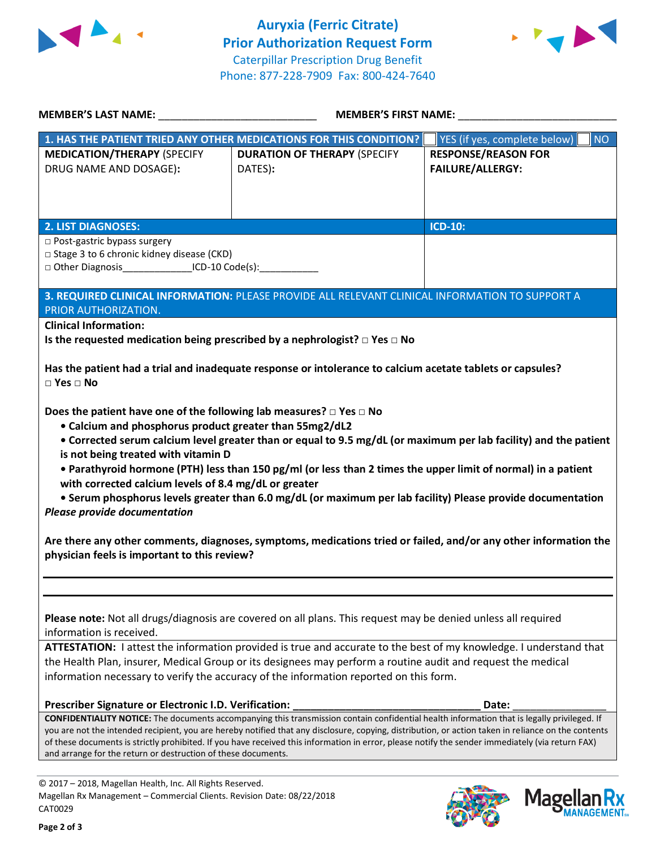



**MANAGEMENT**<sub>SM</sub>

| MEMBER'S LAST NAME: NAME:                                                                                                                                                                                                                                                                                                                        | <b>MEMBER'S FIRST NAME:</b>                                                                                                                                                                                                                                                                                                                                                                                                                                                                                                                                                        |                                                       |  |
|--------------------------------------------------------------------------------------------------------------------------------------------------------------------------------------------------------------------------------------------------------------------------------------------------------------------------------------------------|------------------------------------------------------------------------------------------------------------------------------------------------------------------------------------------------------------------------------------------------------------------------------------------------------------------------------------------------------------------------------------------------------------------------------------------------------------------------------------------------------------------------------------------------------------------------------------|-------------------------------------------------------|--|
|                                                                                                                                                                                                                                                                                                                                                  | 1. HAS THE PATIENT TRIED ANY OTHER MEDICATIONS FOR THIS CONDITION?                                                                                                                                                                                                                                                                                                                                                                                                                                                                                                                 | YES (if yes, complete below)<br><b>NO</b>             |  |
| <b>MEDICATION/THERAPY (SPECIFY</b><br>DRUG NAME AND DOSAGE):                                                                                                                                                                                                                                                                                     | <b>DURATION OF THERAPY (SPECIFY</b><br>DATES):                                                                                                                                                                                                                                                                                                                                                                                                                                                                                                                                     | <b>RESPONSE/REASON FOR</b><br><b>FAILURE/ALLERGY:</b> |  |
| <b>2. LIST DIAGNOSES:</b>                                                                                                                                                                                                                                                                                                                        |                                                                                                                                                                                                                                                                                                                                                                                                                                                                                                                                                                                    | <b>ICD-10:</b>                                        |  |
| □ Post-gastric bypass surgery<br>□ Stage 3 to 6 chronic kidney disease (CKD)<br>□ Other Diagnosis________________ICD-10 Code(s):____________                                                                                                                                                                                                     |                                                                                                                                                                                                                                                                                                                                                                                                                                                                                                                                                                                    |                                                       |  |
|                                                                                                                                                                                                                                                                                                                                                  | 3. REQUIRED CLINICAL INFORMATION: PLEASE PROVIDE ALL RELEVANT CLINICAL INFORMATION TO SUPPORT A                                                                                                                                                                                                                                                                                                                                                                                                                                                                                    |                                                       |  |
| PRIOR AUTHORIZATION.<br><b>Clinical Information:</b>                                                                                                                                                                                                                                                                                             |                                                                                                                                                                                                                                                                                                                                                                                                                                                                                                                                                                                    |                                                       |  |
| $\Box$ Yes $\Box$ No<br>Does the patient have one of the following lab measures? $\Box$ Yes $\Box$ No<br>• Calcium and phosphorus product greater than 55mg2/dL2<br>is not being treated with vitamin D<br>with corrected calcium levels of 8.4 mg/dL or greater<br>Please provide documentation<br>physician feels is important to this review? | Has the patient had a trial and inadequate response or intolerance to calcium acetate tablets or capsules?<br>• Corrected serum calcium level greater than or equal to 9.5 mg/dL (or maximum per lab facility) and the patient<br>• Parathyroid hormone (PTH) less than 150 pg/ml (or less than 2 times the upper limit of normal) in a patient<br>• Serum phosphorus levels greater than 6.0 mg/dL (or maximum per lab facility) Please provide documentation<br>Are there any other comments, diagnoses, symptoms, medications tried or failed, and/or any other information the |                                                       |  |
| information is received.                                                                                                                                                                                                                                                                                                                         | Please note: Not all drugs/diagnosis are covered on all plans. This request may be denied unless all required<br>ATTESTATION: I attest the information provided is true and accurate to the best of my knowledge. I understand that<br>the Health Plan, insurer, Medical Group or its designees may perform a routine audit and request the medical<br>information necessary to verify the accuracy of the information reported on this form.                                                                                                                                      |                                                       |  |
| Prescriber Signature or Electronic I.D. Verification:                                                                                                                                                                                                                                                                                            |                                                                                                                                                                                                                                                                                                                                                                                                                                                                                                                                                                                    | Date:                                                 |  |
| and arrange for the return or destruction of these documents.                                                                                                                                                                                                                                                                                    | CONFIDENTIALITY NOTICE: The documents accompanying this transmission contain confidential health information that is legally privileged. If<br>you are not the intended recipient, you are hereby notified that any disclosure, copying, distribution, or action taken in reliance on the contents<br>of these documents is strictly prohibited. If you have received this information in error, please notify the sender immediately (via return FAX)                                                                                                                             |                                                       |  |
| © 2017 - 2018, Magellan Health, Inc. All Rights Reserved.                                                                                                                                                                                                                                                                                        |                                                                                                                                                                                                                                                                                                                                                                                                                                                                                                                                                                                    |                                                       |  |
| Magellan Rx Management - Commercial Clients. Revision Date: 08/22/2018<br>CAT0029                                                                                                                                                                                                                                                                |                                                                                                                                                                                                                                                                                                                                                                                                                                                                                                                                                                                    | <b>Magel</b>                                          |  |